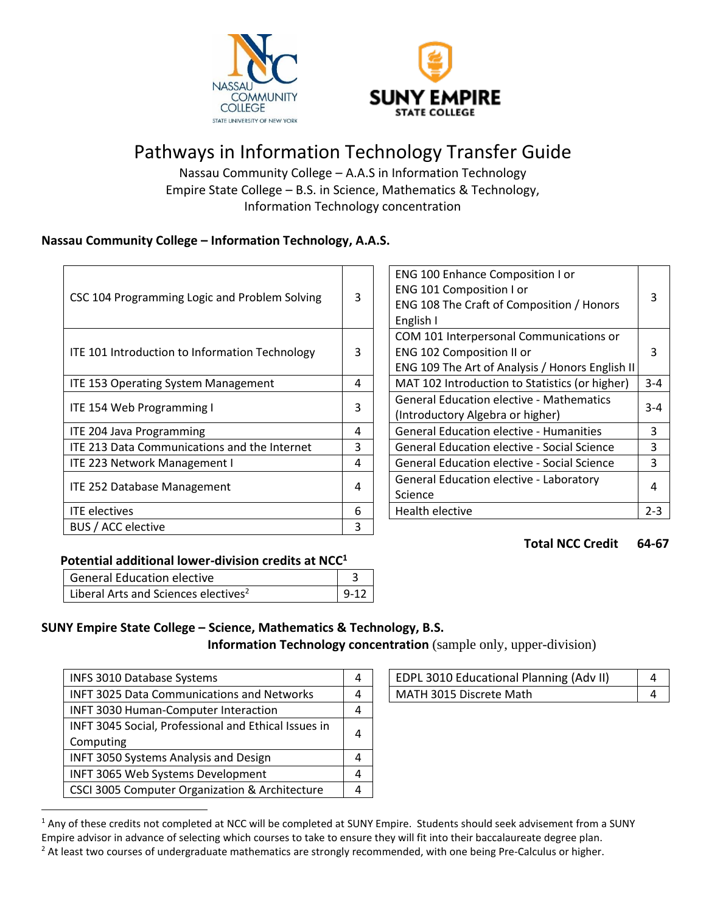



# Pathways in Information Technology Transfer Guide

Nassau Community College – A.A.S in Information Technology Empire State College – B.S. in Science, Mathematics & Technology, Information Technology concentration

## **Nassau Community College – Information Technology, A.A.S.**

| CSC 104 Programming Logic and Problem Solving  | 3 | ENG 100 Enhance Composition I or<br>ENG 101 Composition I or<br>ENG 108 The Craft of Composition / Honors<br>English I  | 3       |
|------------------------------------------------|---|-------------------------------------------------------------------------------------------------------------------------|---------|
| ITE 101 Introduction to Information Technology | 3 | COM 101 Interpersonal Communications or<br>ENG 102 Composition II or<br>ENG 109 The Art of Analysis / Honors English II | 3       |
| <b>ITE 153 Operating System Management</b>     | 4 | MAT 102 Introduction to Statistics (or higher)                                                                          | $3 - 4$ |
| ITE 154 Web Programming I                      | 3 | <b>General Education elective - Mathematics</b><br>(Introductory Algebra or higher)                                     | $3 - 4$ |
| ITE 204 Java Programming                       | 4 | <b>General Education elective - Humanities</b>                                                                          | 3       |
| ITE 213 Data Communications and the Internet   | 3 | <b>General Education elective - Social Science</b>                                                                      | 3       |
| ITE 223 Network Management I                   | 4 | <b>General Education elective - Social Science</b>                                                                      | 3       |
| <b>ITE 252 Database Management</b>             | 4 | General Education elective - Laboratory<br>Science                                                                      | 4       |
| <b>ITE</b> electives                           | 6 | Health elective                                                                                                         | $2 - 3$ |
| BUS / ACC elective                             | 3 |                                                                                                                         |         |

| ENG 100 Enhance Composition I or                |         |
|-------------------------------------------------|---------|
| ENG 101 Composition I or                        |         |
| ENG 108 The Craft of Composition / Honors       |         |
| English I                                       |         |
| COM 101 Interpersonal Communications or         |         |
| ENG 102 Composition II or                       |         |
| ENG 109 The Art of Analysis / Honors English II |         |
| MAT 102 Introduction to Statistics (or higher)  | $3 - 4$ |
| <b>General Education elective - Mathematics</b> |         |
| $3 - 4$<br>(Introductory Algebra or higher)     |         |
| <b>General Education elective - Humanities</b>  | 3       |
| General Education elective - Social Science     | 3       |
| General Education elective - Social Science     | 3       |
| <b>General Education elective - Laboratory</b>  |         |
| Science                                         | 4       |
| <b>Health elective</b>                          | $2 - 3$ |

### **Total NCC Credit 64-67**

# **Potential additional lower-division credits at NCC<sup>1</sup>**

| <b>General Education elective</b>                |  |
|--------------------------------------------------|--|
| Liberal Arts and Sciences electives <sup>2</sup> |  |

# **SUNY Empire State College – Science, Mathematics & Technology, B.S.**

**Information Technology concentration** (sample only, upper-division)

| <b>INFS 3010 Database Systems</b>                    | 4 | EDPL 3010 Educational Planning (Adv II) | 4 |
|------------------------------------------------------|---|-----------------------------------------|---|
| <b>INFT 3025 Data Communications and Networks</b>    | 4 | MATH 3015 Discrete Math                 | 4 |
| INFT 3030 Human-Computer Interaction                 | 4 |                                         |   |
| INFT 3045 Social, Professional and Ethical Issues in | 4 |                                         |   |
| Computing                                            |   |                                         |   |
| <b>INFT 3050 Systems Analysis and Design</b>         |   |                                         |   |
| INFT 3065 Web Systems Development                    | 4 |                                         |   |
| CSCI 3005 Computer Organization & Architecture       | 4 |                                         |   |

| EDPL 3010 Educational Planning (Adv II) |  |
|-----------------------------------------|--|
| MATH 3015 Discrete Math                 |  |

<sup>&</sup>lt;sup>1</sup> Any of these credits not completed at NCC will be completed at SUNY Empire. Students should seek advisement from a SUNY Empire advisor in advance of selecting which courses to take to ensure they will fit into their baccalaureate degree plan.  $<sup>2</sup>$  At least two courses of undergraduate mathematics are strongly recommended, with one being Pre-Calculus or higher.</sup>